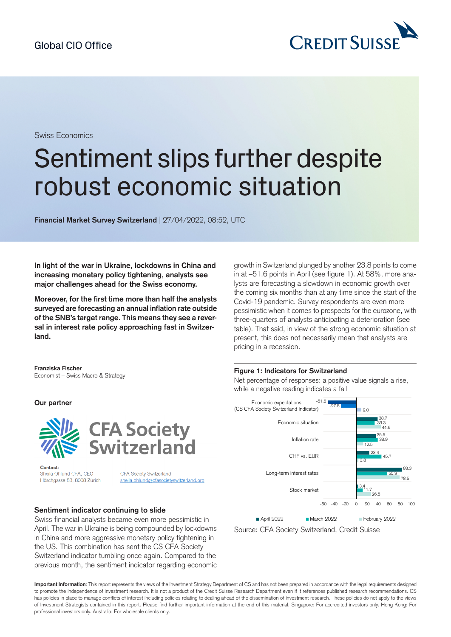

Swiss Economics

# Sentiment slips further despite robust economic situation

**Financial Market Survey Switzerland** | 27/04/2022, 08:52, UTC

**In light of the war in Ukraine, lockdowns in China and increasing monetary policy tightening, analysts see major challenges ahead for the Swiss economy.**

**Moreover, for the first time more than half the analysts surveyed are forecasting an annual inflation rate outside of the SNB's target range. This means they see a reversal in interest rate policy approaching fast in Switzerland.**

**Franziska Fischer** Economist – Swiss Macro & Strategy

**Our partner**





Contact: Sheila Ohlund CFA, CEO Höschgasse 83, 8008 Zürich

CFA Society Switzerland sheila.ohlund@cfasocietyswitzerland.org

## **Sentiment indicator continuing to slide**

Swiss financial analysts became even more pessimistic in April. The war in Ukraine is being compounded by lockdowns in China and more aggressive monetary policy tightening in the US. This combination has sent the CS CFA Society Switzerland indicator tumbling once again. Compared to the previous month, the sentiment indicator regarding economic growth in Switzerland plunged by another 23.8 points to come in at –51.6 points in April (see figure 1). At 58%, more analysts are forecasting a slowdown in economic growth over the coming six months than at any time since the start of the Covid-19 pandemic. Survey respondents are even more pessimistic when it comes to prospects for the eurozone, with three-quarters of analysts anticipating a deterioration (see table). That said, in view of the strong economic situation at present, this does not necessarily mean that analysts are pricing in a recession.

#### **Figure 1: Indicators for Switzerland**

Net percentage of responses: a positive value signals a rise, while a negative reading indicates a fall



Source: CFA Society Switzerland, Credit Suisse

**Important Information**: This report represents the views of the Investment Strategy Department of CS and has not been prepared in accordance with the legal requirements designed to promote the independence of investment research. It is not a product of the Credit Suisse Research Department even if it references published research recommendations. CS has policies in place to manage conflicts of interest including policies relating to dealing ahead of the dissemination of investment research. These policies do not apply to the views of Investment Strategists contained in this report. Please find further important information at the end of this material. Singapore: For accredited investors only. Hong Kong: For professional investors only. Australia: For wholesale clients only.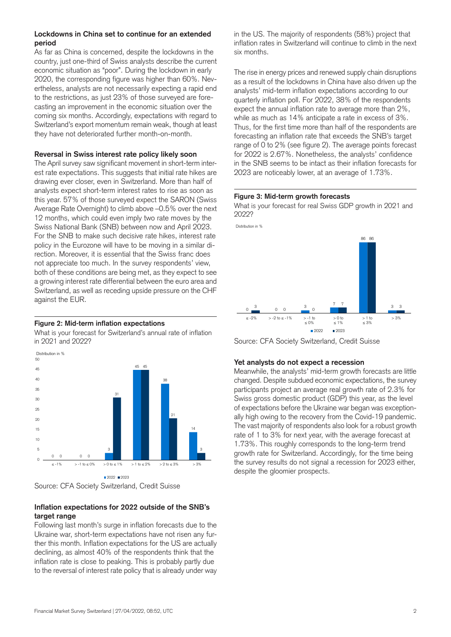## **Lockdowns in China set to continue for an extended period**

As far as China is concerned, despite the lockdowns in the country, just one-third of Swiss analysts describe the current economic situation as "poor". During the lockdown in early 2020, the corresponding figure was higher than 60%. Nevertheless, analysts are not necessarily expecting a rapid end to the restrictions, as just 23% of those surveyed are forecasting an improvement in the economic situation over the coming six months. Accordingly, expectations with regard to Switzerland's export momentum remain weak, though at least they have not deteriorated further month-on-month.

## **Reversal in Swiss interest rate policy likely soon**

The April survey saw significant movement in short-term interest rate expectations. This suggests that initial rate hikes are drawing ever closer, even in Switzerland. More than half of analysts expect short-term interest rates to rise as soon as this year. 57% of those surveyed expect the SARON (Swiss Average Rate Overnight) to climb above –0.5% over the next 12 months, which could even imply two rate moves by the Swiss National Bank (SNB) between now and April 2023. For the SNB to make such decisive rate hikes, interest rate policy in the Eurozone will have to be moving in a similar direction. Moreover, it is essential that the Swiss franc does not appreciate too much. In the survey respondents' view, both of these conditions are being met, as they expect to see a growing interest rate differential between the euro area and Switzerland, as well as receding upside pressure on the CHF against the EUR.

## **Figure 2: Mid-term inflation expectations**

What is your forecast for Switzerland's annual rate of inflation in 2021 and 2022?





## **Inflation expectations for 2022 outside of the SNB's target range**

Following last month's surge in inflation forecasts due to the Ukraine war, short-term expectations have not risen any further this month. Inflation expectations for the US are actually declining, as almost 40% of the respondents think that the inflation rate is close to peaking. This is probably partly due to the reversal of interest rate policy that is already under way

in the US. The majority of respondents (58%) project that inflation rates in Switzerland will continue to climb in the next six months.

The rise in energy prices and renewed supply chain disruptions as a result of the lockdowns in China have also driven up the analysts' mid-term inflation expectations according to our quarterly inflation poll. For 2022, 38% of the respondents expect the annual inflation rate to average more than 2%, while as much as 14% anticipate a rate in excess of 3%. Thus, for the first time more than half of the respondents are forecasting an inflation rate that exceeds the SNB's target range of 0 to 2% (see figure 2). The average points forecast for 2022 is 2.67%. Nonetheless, the analysts' confidence in the SNB seems to be intact as their inflation forecasts for 2023 are noticeably lower, at an average of 1.73%.

## **Figure 3: Mid-term growth forecasts**

What is your forecast for real Swiss GDP growth in 2021 and 2022?





Source: CFA Society Switzerland, Credit Suisse

## **Yet analysts do not expect a recession**

Meanwhile, the analysts' mid-term growth forecasts are little changed. Despite subdued economic expectations, the survey participants project an average real growth rate of 2.3% for Swiss gross domestic product (GDP) this year, as the level of expectations before the Ukraine war began was exceptionally high owing to the recovery from the Covid-19 pandemic. The vast majority of respondents also look for a robust growth rate of 1 to 3% for next year, with the average forecast at 1.73%. This roughly corresponds to the long-term trend growth rate for Switzerland. Accordingly, for the time being the survey results do not signal a recession for 2023 either, despite the gloomier prospects.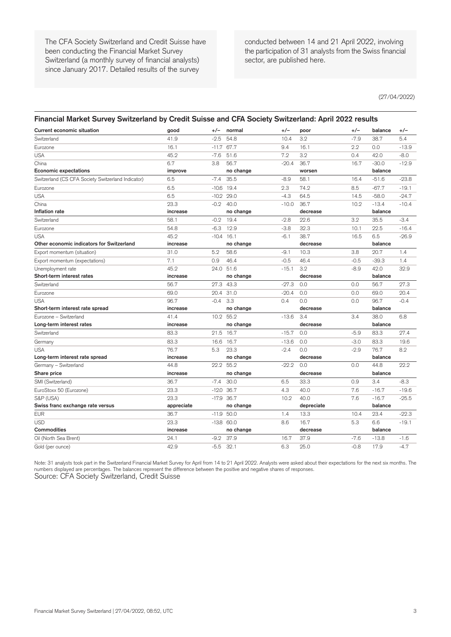The CFA Society Switzerland and Credit Suisse have been conducting the Financial Market Survey Switzerland (a monthly survey of financial analysts) since January 2017. Detailed results of the survey

conducted between 14 and 21 April 2022, involving the participation of 31 analysts from the Swiss financial sector, are published here.

(27/04/2022)

#### **Financial Market Survey Switzerland by Credit Suisse and CFA Society Switzerland: April 2022 results**

| <b>Current economic situation</b>                  | good       | $+/-$   | normal       | $+/-$   | poor       | $+/-$  | balance | $+/-$   |
|----------------------------------------------------|------------|---------|--------------|---------|------------|--------|---------|---------|
| Switzerland                                        | 41.9       | $-2.5$  | 54.8         | 10.4    | 3.2        | $-7.9$ | 38.7    | 5.4     |
| Eurozone                                           | 16.1       | $-11.7$ | 67.7         | 9.4     | 16.1       | 2.2    | 0.0     | $-13.9$ |
| <b>USA</b>                                         | 45.2       | $-7.6$  | 51.6         | 7.2     | 3.2        | 0.4    | 42.0    | $-8.0$  |
| China                                              | 6.7        | 3.8     | 56.7         | $-20.4$ | 36.7       | 16.7   | $-30.0$ | $-12.9$ |
| <b>Economic expectations</b>                       | improve    |         | no change    |         | worsen     |        | balance |         |
| Switzerland (CS CFA Society Switzerland Indicator) | 6.5        | $-7.4$  | 35.5         | $-8.9$  | 58.1       | 16.4   | $-51.6$ | $-23.8$ |
| Eurozone                                           | 6.5        | $-10.6$ | 19.4         | 2.3     | 74.2       | 8.5    | $-67.7$ | $-19.1$ |
| <b>USA</b>                                         | 6.5        | $-10.2$ | 29.0         | $-4.3$  | 64.5       | 14.5   | $-58.0$ | $-24.7$ |
| China                                              | 23.3       | $-0.2$  | 40.0         | $-10.0$ | 36.7       | 10.2   | $-13.4$ | $-10.4$ |
| Inflation rate                                     | increase   |         | no change    |         | decrease   |        | balance |         |
| Switzerland                                        | 58.1       | $-0.2$  | 19.4         | $-2.8$  | 22.6       | 3.2    | 35.5    | $-3.4$  |
| Eurozone                                           | 54.8       | $-6.3$  | 12.9         | $-3.8$  | 32.3       | 10.1   | 22.5    | $-16.4$ |
| <b>USA</b>                                         | 45.2       | $-10.4$ | 16.1         | $-6.1$  | 38.7       | 16.5   | 6.5     | $-26.9$ |
| Other economic indicators for Switzerland          | increase   |         | no change    |         | decrease   |        | balance |         |
| Export momentum (situation)                        | 31.0       | 5.2     | 58.6         | $-9.1$  | 10.3       | 3.8    | 20.7    | 1.4     |
| Export momentum (expectations)                     | 7.1        | 0.9     | 46.4         | $-0.5$  | 46.4       | $-0.5$ | $-39.3$ | 1.4     |
| Unemployment rate                                  | 45.2       |         | 24.0 51.6    | $-15.1$ | 3.2        | $-8.9$ | 42.0    | 32.9    |
| Short-term interest rates                          | increase   |         | no change    |         | decrease   |        | balance |         |
| Switzerland                                        | 56.7       | 27.3    | 43.3         | $-27.3$ | 0.0        | 0.0    | 56.7    | 27.3    |
| Eurozone                                           | 69.0       | 20.4    | 31.0         | $-20.4$ | 0.0        | 0.0    | 69.0    | 20.4    |
| <b>USA</b>                                         | 96.7       | $-0.4$  | 3.3          | 0.4     | 0.0        | 0.0    | 96.7    | $-0.4$  |
| Short-term interest rate spread                    | increase   |         | no change    |         | decrease   |        | balance |         |
| Eurozone - Switzerland                             | 41.4       |         | 10.2 55.2    | $-13.6$ | 3.4        | 3.4    | 38.0    | 6.8     |
| Long-term interest rates                           | increase   |         | no change    |         | decrease   |        | balance |         |
| Switzerland                                        | 83.3       | 21.5    | 16.7         | $-15.7$ | 0.0        | $-5.9$ | 83.3    | 27.4    |
| Germany                                            | 83.3       | 16.6    | 16.7         | $-13.6$ | 0.0        | $-3.0$ | 83.3    | 19.6    |
| <b>USA</b>                                         | 76.7       | 5.3     | 23.3         | $-2.4$  | 0.0        | $-2.9$ | 76.7    | 8.2     |
| Long-term interest rate spread                     | increase   |         | no change    |         | decrease   |        | balance |         |
| Germany - Switzerland                              | 44.8       |         | 22.2 55.2    | $-22.2$ | 0.0        | 0.0    | 44.8    | 22.2    |
| Share price                                        | increase   |         | no change    |         | decrease   |        | balance |         |
| SMI (Switzerland)                                  | 36.7       | $-7.4$  | 30.0         | 6.5     | 33.3       | 0.9    | 3.4     | $-8.3$  |
| EuroStoxx 50 (Eurozone)                            | 23.3       | $-12.0$ | 36.7         | 4.3     | 40.0       | 7.6    | $-16.7$ | $-19.6$ |
| S&P (USA)                                          | 23.3       |         | $-17.9$ 36.7 | 10.2    | 40.0       | 7.6    | $-16.7$ | $-25.5$ |
| Swiss franc exchange rate versus                   | appreciate |         | no change    |         | depreciate |        | balance |         |
| <b>EUR</b>                                         | 36.7       |         | $-11.9$ 50.0 | 1.4     | 13.3       | 10.4   | 23.4    | $-22.3$ |
| <b>USD</b>                                         | 23.3       |         | $-13.8$ 60.0 | 8.6     | 16.7       | 5.3    | 6.6     | $-19.1$ |
| Commodities                                        | increase   |         | no change    |         | decrease   |        | balance |         |
| Oil (North Sea Brent)                              | 24.1       | $-9.2$  | 37.9         | 16.7    | 37.9       | $-7.6$ | $-13.8$ | $-1.6$  |
| Gold (per ounce)                                   | 42.9       | $-5.5$  | 32.1         | 6.3     | 25.0       | $-0.8$ | 17.9    | $-4.7$  |

Note: 31 analysts took part in the Switzerland Financial Market Survey for April from 14 to 21 April 2022. Analysts were asked about their expectations for the next six months. The numbers displayed are percentages. The balances represent the difference between the positive and negative shares of responses. Source: CFA Society Switzerland, Credit Suisse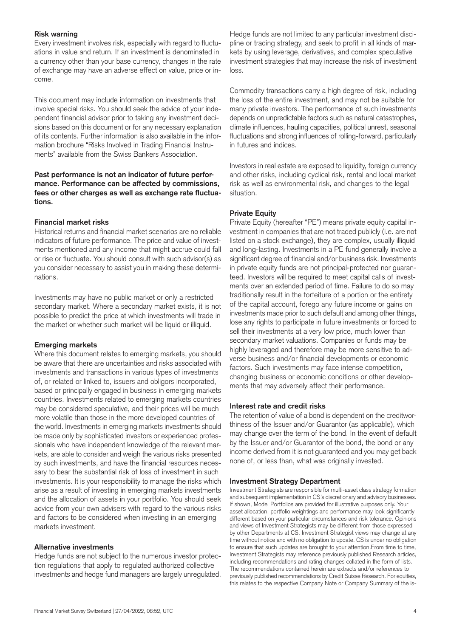## **Risk warning**

Every investment involves risk, especially with regard to fluctuations in value and return. If an investment is denominated in a currency other than your base currency, changes in the rate of exchange may have an adverse effect on value, price or income.

This document may include information on investments that involve special risks. You should seek the advice of your independent financial advisor prior to taking any investment decisions based on this document or for any necessary explanation of its contents. Further information is also available in the information brochure "Risks Involved in Trading Financial Instruments" available from the Swiss Bankers Association.

## **Past performance is not an indicator of future performance. Performance can be affected by commissions, fees or other charges as well as exchange rate fluctuations.**

## **Financial market risks**

Historical returns and financial market scenarios are no reliable indicators of future performance. The price and value of investments mentioned and any income that might accrue could fall or rise or fluctuate. You should consult with such advisor(s) as you consider necessary to assist you in making these determinations.

Investments may have no public market or only a restricted secondary market. Where a secondary market exists, it is not possible to predict the price at which investments will trade in the market or whether such market will be liquid or illiquid.

## **Emerging markets**

Where this document relates to emerging markets, you should be aware that there are uncertainties and risks associated with investments and transactions in various types of investments of, or related or linked to, issuers and obligors incorporated, based or principally engaged in business in emerging markets countries. Investments related to emerging markets countries may be considered speculative, and their prices will be much more volatile than those in the more developed countries of the world. Investments in emerging markets investments should be made only by sophisticated investors or experienced professionals who have independent knowledge of the relevant markets, are able to consider and weigh the various risks presented by such investments, and have the financial resources necessary to bear the substantial risk of loss of investment in such investments. It is your responsibility to manage the risks which arise as a result of investing in emerging markets investments and the allocation of assets in your portfolio. You should seek advice from your own advisers with regard to the various risks and factors to be considered when investing in an emerging markets investment.

## **Alternative investments**

Hedge funds are not subject to the numerous investor protection regulations that apply to regulated authorized collective investments and hedge fund managers are largely unregulated.

Hedge funds are not limited to any particular investment discipline or trading strategy, and seek to profit in all kinds of markets by using leverage, derivatives, and complex speculative investment strategies that may increase the risk of investment loss.

Commodity transactions carry a high degree of risk, including the loss of the entire investment, and may not be suitable for many private investors. The performance of such investments depends on unpredictable factors such as natural catastrophes, climate influences, hauling capacities, political unrest, seasonal fluctuations and strong influences of rolling-forward, particularly in futures and indices.

Investors in real estate are exposed to liquidity, foreign currency and other risks, including cyclical risk, rental and local market risk as well as environmental risk, and changes to the legal situation.

## **Private Equity**

Private Equity (hereafter "PE") means private equity capital investment in companies that are not traded publicly (i.e. are not listed on a stock exchange), they are complex, usually illiquid and long-lasting. Investments in a PE fund generally involve a significant degree of financial and/or business risk. Investments in private equity funds are not principal-protected nor guaranteed. Investors will be required to meet capital calls of investments over an extended period of time. Failure to do so may traditionally result in the forfeiture of a portion or the entirety of the capital account, forego any future income or gains on investments made prior to such default and among other things, lose any rights to participate in future investments or forced to sell their investments at a very low price, much lower than secondary market valuations. Companies or funds may be highly leveraged and therefore may be more sensitive to adverse business and/or financial developments or economic factors. Such investments may face intense competition, changing business or economic conditions or other developments that may adversely affect their performance.

## **Interest rate and credit risks**

The retention of value of a bond is dependent on the creditworthiness of the Issuer and/or Guarantor (as applicable), which may change over the term of the bond. In the event of default by the Issuer and/or Guarantor of the bond, the bond or any income derived from it is not guaranteed and you may get back none of, or less than, what was originally invested.

## **Investment Strategy Department**

Investment Strategists are responsible for multi-asset class strategy formation and subsequent implementation in CS's discretionary and advisory businesses. If shown, Model Portfolios are provided for illustrative purposes only. Your asset allocation, portfolio weightings and performance may look significantly different based on your particular circumstances and risk tolerance. Opinions and views of Investment Strategists may be different from those expressed by other Departments at CS. Investment Strategist views may change at any time without notice and with no obligation to update. CS is under no obligation to ensure that such updates are brought to your attention.From time to time, Investment Strategists may reference previously published Research articles, including recommendations and rating changes collated in the form of lists. The recommendations contained herein are extracts and/or references to previously published recommendations by Credit Suisse Research. For equities, this relates to the respective Company Note or Company Summary of the is-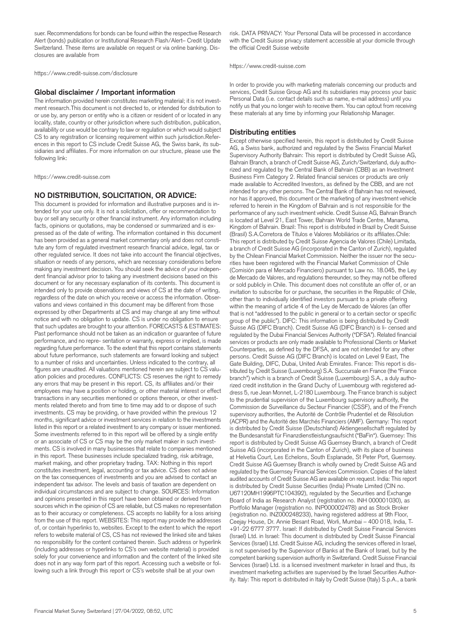suer. Recommendations for bonds can be found within the respective Research Alert (bonds) publication or Institutional Research Flash/Alert– Credit Update Switzerland. These items are available on request or via online banking. Disclosures are available from

<https://www.credit-suisse.com/disclosure>

#### **Global disclaimer / Important information**

The information provided herein constitutes marketing material; it is not investment research.This document is not directed to, or intended for distribution to or use by, any person or entity who is a citizen or resident of or located in any locality, state, country or other jurisdiction where such distribution, publication, availability or use would be contrary to law or regulation or which would subject CS to any registration or licensing requirement within such jurisdiction.References in this report to CS include Credit Suisse AG, the Swiss bank, its subsidiaries and affiliates. For more information on our structure, please use the following link:

<https://www.credit-suisse.com>

#### **NO DISTRIBUTION, SOLICITATION, OR ADVICE:**

This document is provided for information and illustrative purposes and is intended for your use only. It is not a solicitation, offer or recommendation to buy or sell any security or other financial instrument. Any information including facts, opinions or quotations, may be condensed or summarized and is expressed as of the date of writing. The information contained in this document has been provided as a general market commentary only and does not constitute any form of regulated investment research financial advice, legal, tax or other regulated service. It does not take into account the financial objectives, situation or needs of any persons, which are necessary considerations before making any investment decision. You should seek the advice of your independent financial advisor prior to taking any investment decisions based on this document or for any necessary explanation of its contents. This document is intended only to provide observations and views of CS at the date of writing, regardless of the date on which you receive or access the information. Observations and views contained in this document may be different from those expressed by other Departments at CS and may change at any time without notice and with no obligation to update. CS is under no obligation to ensure that such updates are brought to your attention. FORECASTS & ESTIMATES: Past performance should not be taken as an indication or guarantee of future performance, and no repre- sentation or warranty, express or implied, is made regarding future performance. To the extent that this report contains statements about future performance, such statements are forward looking and subject to a number of risks and uncertainties. Unless indicated to the contrary, all figures are unaudited. All valuations mentioned herein are subject to CS valuation policies and procedures. CONFLICTS: CS reserves the right to remedy any errors that may be present in this report. CS, its affiliates and/or their employees may have a position or holding, or other material interest or effect transactions in any securities mentioned or options thereon, or other investments related thereto and from time to time may add to or dispose of such investments. CS may be providing, or have provided within the previous 12 months, significant advice or investment services in relation to the investments listed in this report or a related investment to any company or issuer mentioned. Some investments referred to in this report will be offered by a single entity or an associate of CS or CS may be the only market maker in such investments. CS is involved in many businesses that relate to companies mentioned in this report. These businesses include specialized trading, risk arbitrage, market making, and other proprietary trading. TAX: Nothing in this report constitutes investment, legal, accounting or tax advice. CS does not advise on the tax consequences of investments and you are advised to contact an independent tax advisor. The levels and basis of taxation are dependent on individual circumstances and are subject to change. SOURCES: Information and opinions presented in this report have been obtained or derived from sources which in the opinion of CS are reliable, but CS makes no representation as to their accuracy or completeness. CS accepts no liability for a loss arising from the use of this report. WEBSITES: This report may provide the addresses of, or contain hyperlinks to, websites. Except to the extent to which the report refers to website material of CS, CS has not reviewed the linked site and takes no responsibility for the content contained therein. Such address or hyperlink (including addresses or hyperlinks to CS's own website material) is provided solely for your convenience and information and the content of the linked site does not in any way form part of this report. Accessing such a website or following such a link through this report or CS's website shall be at your own

risk. DATA PRIVACY: Your Personal Data will be processed in accordance with the Credit Suisse privacy statement accessible at your domicile through the official Credit Suisse website

<https://www.credit-suisse.com>

In order to provide you with marketing materials concerning our products and services, Credit Suisse Group AG and its subsidiaries may process your basic Personal Data (i.e. contact details such as name, e-mail address) until you notify us that you no longer wish to receive them. You can optout from receiving these materials at any time by informing your Relationship Manager.

#### **Distributing entities**

Except otherwise specified herein, this report is distributed by Credit Suisse AG, a Swiss bank, authorized and regulated by the Swiss Financial Market Supervisory Authority Bahrain: This report is distributed by Credit Suisse AG, Bahrain Branch, a branch of Credit Suisse AG, Zurich/Switzerland, duly authorized and regulated by the Central Bank of Bahrain (CBB) as an Investment Business Firm Category 2. Related financial services or products are only made available to Accredited Investors, as defined by the CBB, and are not intended for any other persons. The Central Bank of Bahrain has not reviewed, nor has it approved, this document or the marketing of any investment vehicle referred to herein in the Kingdom of Bahrain and is not responsible for the performance of any such investment vehicle. Credit Suisse AG, Bahrain Branch is located at Level 21, East Tower, Bahrain World Trade Centre, Manama, Kingdom of Bahrain. Brazil: This report is distributed in Brazil by Credit Suisse (Brasil) S.A.Corretora de Títulos e Valores Mobiliários or its affiliates.Chile: This report is distributed by Credit Suisse Agencia de Valores (Chile) Limitada, a branch of Credit Suisse AG (incorporated in the Canton of Zurich), regulated by the Chilean Financial Market Commission. Neither the issuer nor the securities have been registered with the Financial Market Commission of Chile (Comisión para el Mercado Financiero) pursuant to Law no. 18.045, the Ley de Mercado de Valores, and regulations thereunder, so they may not be offered or sold publicly in Chile. This document does not constitute an offer of, or an invitation to subscribe for or purchase, the securities in the Republic of Chile, other than to individually identified investors pursuant to a private offering within the meaning of article 4 of the Ley de Mercado de Valores (an offer that is not "addressed to the public in general or to a certain sector or specific group of the public"). DIFC: This information is being distributed by Credit Suisse AG (DIFC Branch). Credit Suisse AG (DIFC Branch) is li- censed and regulated by the Dubai Financial Services Authority ("DFSA"). Related financial services or products are only made available to Professional Clients or Market Counterparties, as defined by the DFSA, and are not intended for any other persons. Credit Suisse AG (DIFC Branch) is located on Level 9 East, The Gate Building, DIFC, Dubai, United Arab Emirates. France: This report is distributed by Credit Suisse (Luxembourg) S.A. Succursale en France (the "France branch") which is a branch of Credit Suisse (Luxembourg) S.A., a duly authorized credit institution in the Grand Duchy of Luxembourg with registered address 5, rue Jean Monnet, L-2180 Luxembourg. The France branch is subject to the prudential supervision of the Luxembourg supervisory authority, the Commission de Surveillance du Secteur Financier (CSSF), and of the French supervisory authorities, the Autorité de Contrôle Prudentiel et de Résolution (ACPR) and the Autorité des Marchés Financiers (AMF). Germany: This report is distributed by Credit Suisse (Deutschland) Aktiengesellschaft regulated by the Bundesanstalt für Finanzdienstleistungsaufsicht ("BaFin"). Guernsey: This report is distributed by Credit Suisse AG Guernsey Branch, a branch of Credit Suisse AG (incorporated in the Canton of Zurich), with its place of business at Helvetia Court, Les Echelons, South Esplanade, St Peter Port, Guernsey. Credit Suisse AG Guernsey Branch is wholly owned by Credit Suisse AG and regulated by the Guernsey Financial Services Commission. Copies of the latest audited accounts of Credit Suisse AG are available on request. India: This report is distributed by Credit Suisse Securities (India) Private Limited (CIN no. U67120MH1996PTC104392), regulated by the Securities and Exchange Board of India as Research Analyst (registration no. INH 000001030), as Portfolio Manager (registration no. INP000002478) and as Stock Broker (registration no. INZ000248233), having registered address at 9th Floor, Ceejay House, Dr. Annie Besant Road, Worli, Mumbai – 400 018, India, T- +91-22 6777 3777. Israel: If distributed by Credit Suisse Financial Services (Israel) Ltd. in Israel: This document is distributed by Credit Suisse Financial Services (Israel) Ltd. Credit Suisse AG, including the services offered in Israel, is not supervised by the Supervisor of Banks at the Bank of Israel, but by the competent banking supervision authority in Switzerland. Credit Suisse Financial Services (Israel) Ltd. is a licensed investment marketer in Israel and thus, its investment marketing activities are supervised by the Israel Securities Authority. Italy: This report is distributed in Italy by Credit Suisse (Italy) S.p.A., a bank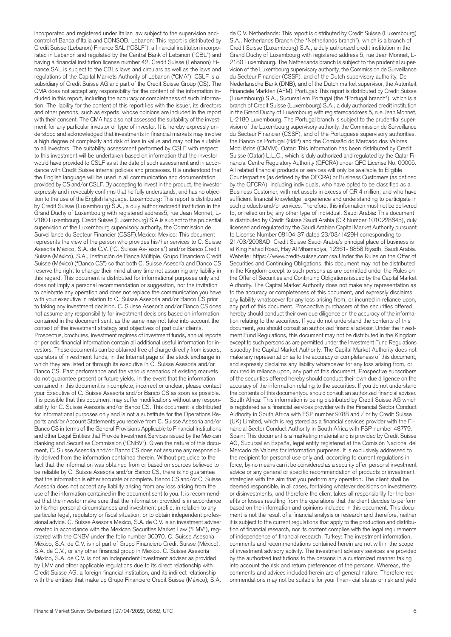incorporated and registered under Italian law subject to the supervision andcontrol of Banca d'Italia and CONSOB. Lebanon: This report is distributed by Credit Suisse (Lebanon) Finance SAL ("CSLF"), a financial institution incorporated in Lebanon and regulated by the Central Bank of Lebanon ("CBL") and having a financial institution license number 42. Credit Suisse (Lebanon) Finance SAL is subject to the CBL's laws and circulars as well as the laws and regulations of the Capital Markets Authority of Lebanon ("CMA"). CSLF is a subsidiary of Credit Suisse AG and part of the Credit Suisse Group (CS). The CMA does not accept any responsibility for the content of the information included in this report, including the accuracy or completeness of such information. The liability for the content of this report lies with the issuer, its directors and other persons, such as experts, whose opinions are included in the report with their consent. The CMA has also not assessed the suitability of the investment for any particular investor or type of investor. It is hereby expressly understood and acknowledged that investments in financial markets may involve a high degree of complexity and risk of loss in value and may not be suitable to all investors. The suitability assessment performed by CSLF with respect to this investment will be undertaken based on information that the investor would have provided to CSLF as at the date of such assessment and in accordance with Credit Suisse internal policies and processes. It is understood that the English language will be used in all communication and documentation provided by CS and/or CSLF. By accepting to invest in the product, the investor expressly and irrevocably confirms that he fully understands, and has no objection to the use of the English language. Luxembourg: This report is distributed by Credit Suisse (Luxembourg) S.A., a duly authorizedcredit institution in the Grand Duchy of Luxembourg with registered address5, rue Jean Monnet, L-2180 Luxembourg. Credit Suisse (Luxembourg) S.A.is subject to the prudential supervision of the Luxembourg supervisory authority, the Commission de Surveillance du Secteur Financier (CSSF).Mexico: Mexico: This document represents the view of the person who provides his/her services to C. Suisse Asesoría México, S.A. de C.V. ("C. Suisse As- esoría") and/or Banco Credit Suisse (México), S.A., Institución de Banca Múltiple, Grupo Financiero Credit Suisse (México) ("Banco CS") so that both C. Suisse Asesoría and Banco CS reserve the right to change their mind at any time not assuming any liability in this regard. This document is distributed for informational purposes only and does not imply a personal recommendation or suggestion, nor the invitation to celebrate any operation and does not replace the communication you have with your executive in relation to C. Suisse Asesoría and/or Banco CS prior to taking any investment decision. C. Suisse Asesoría and/or Banco CS does not assume any responsibility for investment decisions based on information contained in the document sent, as the same may not take into account the context of the investment strategy and objectives of particular clients. Prospectus, brochures, investment regimes of investment funds, annual reports or periodic financial information contain all additional useful information for investors. These documents can be obtained free of charge directly from issuers, operators of investment funds, in the Internet page of the stock exchange in which they are listed or through its executive in C. Suisse Asesoría and/or Banco CS. Past performance and the various scenarios of existing markets do not guarantee present or future yields. In the event that the information contained in this document is incomplete, incorrect or unclear, please contact your Executive of C. Suisse Asesoría and/or Banco CS as soon as possible. It is possible that this document may suffer modifications without any responsibility for C. Suisse Asesoría and/or Banco CS. This document is distributed for informational purposes only and is not a substitute for the Operations Reports and/or Account Statements you receive from C. Suisse Asesoría and/or Banco CS in terms of the General Provisions Applicable to Financial Institutions and other Legal Entities that Provide Investment Services issued by the Mexican Banking and Securities Commission ("CNBV"). Given the nature of this document, C. Suisse Asesoría and/or Banco CS does not assume any responsibility derived from the information contained therein. Without prejudice to the fact that the information was obtained from or based on sources believed to be reliable by C. Suisse Asesoría and/or Banco CS, there is no guarantee that the information is either accurate or complete. Banco CS and/or C. Suisse Asesoría does not accept any liability arising from any loss arising from the use of the information contained in the document sent to you. It is recommended that the investor make sure that the information provided is in accordance to his/her personal circumstances and investment profile, in relation to any particular legal, regulatory or fiscal situation, or to obtain independent professional advice. C. Suisse Asesoría México, S.A. de C.V. is an investment adviser created in accordance with the Mexican Securities Market Law ("LMV"), registered with the CNBV under the folio number 30070. C. Suisse Asesoría México, S.A. de C.V. is not part of Grupo Financiero Credit Suisse (México), S.A. de C.V., or any other financial group in Mexico. C. Suisse Asesoría México, S.A. de C.V. is not an independent investment adviser as provided by LMV and other applicable regulations due to its direct relationship with Credit Suisse AG, a foreign financial institution, and its indirect relationship with the entities that make up Grupo Financiero Credit Suisse (México), S.A.

S.A., Netherlands Branch (the "Netherlands branch"), which is a branch of Credit Suisse (Luxembourg) S.A., a duly authorized credit institution in the Grand Duchy of Luxembourg with registered address 5, rue Jean Monnet, L-2180 Luxembourg. The Netherlands branch is subject to the prudential supervision of the Luxembourg supervisory authority, the Commission de Surveillance du Secteur Financier (CSSF), and of the Dutch supervisory authority, De Nederlansche Bank (DNB), and of the Dutch market supervisor, the Autoriteit Financiële Markten (AFM). Portugal: This report is distributed by Credit Suisse (Luxembourg) S.A., Sucursal em Portugal (the "Portugal branch"), which is a branch of Credit Suisse (Luxembourg) S.A., a duly authorized credit institution in the Grand Duchy of Luxembourg with registeredaddress 5, rue Jean Monnet, L-2180 Luxembourg. The Portugal branch is subject to the prudential supervision of the Luxembourg supervisory authority, the Commission de Surveillance du Secteur Financier (CSSF), and of the Portuguese supervisory authorities, the Banco de Portugal (BdP) and the Comissão do Mercado dos Valores Mobiliários (CMVM). Qatar: This information has been distributed by Credit Suisse (Qatar) L.L.C., which is duly authorized and regulated by the Qatar Financial Centre Regulatory Authority (QFCRA) under QFC License No. 00005. All related financial products or services will only be available to Eligible Counterparties (as defined by the QFCRA) or Business Customers (as defined by the QFCRA), including individuals, who have opted to be classified as a Business Customer, with net assets in excess of QR 4 million, and who have sufficient financial knowledge, experience and understanding to participate in such products and/or services. Therefore, this information must not be delivered to, or relied on by, any other type of individual. Saudi Arabia: This document is distributed by Credit Suisse Saudi Arabia (CR Number 1010228645), duly licensed and regulated by the Saudi Arabian Capital Market Authority pursuant to License Number 08104-37 dated 23/03/1429H corresponding to 21/03/2008AD. Credit Suisse Saudi Arabia's principal place of business is at King Fahad Road, Hay Al Mhamadiya, 12361- 6858 Riyadh, Saudi Arabia. Website: <https://www.credit-suisse.com/sa.Under> the Rules on the Offer of Securities and Continuing Obligations, this document may not be distributed in the Kingdom except to such persons as are permitted under the Rules on the Offer of Securities and Continuing Obligations issued by the Capital Market Authority. The Capital Market Authority does not make any representation as to the accuracy or completeness of this document, and expressly disclaims any liability whatsoever for any loss arising from, or incurred in reliance upon, any part of this document. Prospective purchasers of the securities offered hereby should conduct their own due diligence on the accuracy of the information relating to the securities. If you do not understand the contents of this document, you should consult an authorized financial advisor. Under the Investment Fund Regulations, this document may not be distributed in the Kingdom except to such persons as are permitted under the Investment Fund Regulations issuedby the Capital Market Authority. The Capital Market Authority does not make any representation as to the accuracy or completeness of this document, and expressly disclaims any liability whatsoever for any loss arising from, or incurred in reliance upon, any part of this document. Prospective subscribers of the securities offered hereby should conduct their own due diligence on the accuracy of the information relating to the securities. If you do not understand the contents of this documentyou should consult an authorized financial adviser. South Africa: This information is being distributed by Credit Suisse AG which is registered as a financial services provider with the Financial Sector Conduct Authority in South Africa with FSP number 9788 and / or by Credit Suisse (UK) Limited, which is registered as a financial services provider with the Financial Sector Conduct Authority in South Africa with FSP number 48779. Spain: This document is a marketing material and is provided by Credit Suisse AG, Sucursal en España, legal entity registered at the Comisión Nacional del Mercado de Valores for information purposes. It is exclusively addressed to the recipient for personal use only and, according to current regulations in force, by no means can it be considered as a security offer, personal investment advice or any general or specific recommendation of products or investment strategies with the aim that you perform any operation. The client shall be deemed responsible, in all cases, for taking whatever decisions on investments or disinvestments, and therefore the client takes all responsibility for the benefits or losses resulting from the operations that the client decides to perform based on the information and opinions included in this document. This document is not the result of a financial analysis or research and therefore, neither it is subject to the current regulations that apply to the production and distribution of financial research, nor its content complies with the legal requirements of independence of financial research. Turkey: The investment information, comments and recommendations contained herein are not within the scope of investment advisory activity. The investment advisory services are provided by the authorized institutions to the persons in a customized manner taking into account the risk and return preferences of the persons. Whereas, the comments and advices included herein are of general nature. Therefore recommendations may not be suitable for your finan- cial status or risk and yield

de C.V. Netherlands: This report is distributed by Credit Suisse (Luxembourg)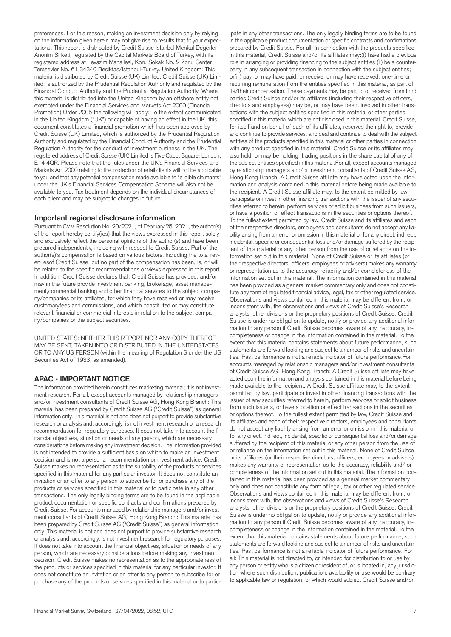preferences. For this reason, making an investment decision only by relying on the information given herein may not give rise to results that fit your expectations. This report is distributed by Credit Suisse Istanbul Menkul Degerler Anonim Sirketi, regulated by the Capital Markets Board of Turkey, with its registered address at Levazim Mahallesi, Koru Sokak No. 2 Zorlu Center Terasevler No. 61 34340 Besiktas/Istanbul-Turkey. United Kingdom: This material is distributed by Credit Suisse (UK) Limited. Credit Suisse (UK) Limited, is authorized by the Prudential Regulation Authority and regulated by the Financial Conduct Authority and the Prudential Regulation Authority. Where this material is distributed into the United Kingdom by an offshore entity not exempted under the Financial Services and Markets Act 2000 (Financial Promotion) Order 2005 the following will apply: To the extent communicated in the United Kingdom ("UK") or capable of having an effect in the UK, this document constitutes a financial promotion which has been approved by Credit Suisse (UK) Limited, which is authorized by the Prudential Regulation Authority and regulated by the Financial Conduct Authority and the Prudential Regulation Authority for the conduct of investment business in the UK. The registered address of Credit Suisse (UK) Limited is Five Cabot Square, London, E14 4QR. Please note that the rules under the UK's Financial Services and Markets Act 2000 relating to the protection of retail clients will not be applicable to you and that any potential compensation made available to "eligible claimants" under the UK's Financial Services Compensation Scheme will also not be available to you. Tax treatment depends on the individual circumstances of each client and may be subject to changes in future.

#### **Important regional disclosure information**

Pursuant to CVM Resolution No. 20/2021, of February 25, 2021, the author(s) of the report hereby certify(ies) that the views expressed in this report solely and exclusively reflect the personal opinions of the author(s) and have been prepared independently, including with respect to Credit Suisse. Part of the author(s)´s compensation is based on various factors, including the total revenuesof Credit Suisse, but no part of the compensation has been, is, or will be related to the specific recommendations or views expressed in this report. In addition, Credit Suisse declares that: Credit Suisse has provided, and/or may in the future provide investment banking, brokerage, asset management,commercial banking and other financial services to the subject company/companies or its affiliates, for which they have received or may receive customaryfees and commissions, and which constituted or may constitute relevant financial or commercial interests in relation to the subject company/companies or the subject securities.

UNITED STATES: NEITHER THIS REPORT NOR ANY COPY THEREOF MAY BE SENT, TAKEN INTO OR DISTRIBUTED IN THE UNITEDSTATES OR TO ANY US PERSON (within the meaning of Regulation S under the US Securities Act of 1933, as amended).

## **APAC - IMPORTANT NOTICE**

The information provided herein constitutes marketing material; it is not investment research. For all, except accounts managed by relationship managers and/or investment consultants of Credit Suisse AG, Hong Kong Branch: This material has been prepared by Credit Suisse AG ("Credit Suisse") as general information only. This material is not and does not purport to provide substantive research or analysis and, accordingly, is not investment research or a research recommendation for regulatory purposes. It does not take into account the financial objectives, situation or needs of any person, which are necessary considerations before making any investment decision. The information provided is not intended to provide a sufficient basis on which to make an investment decision and is not a personal recommendation or investment advice. Credit Suisse makes no representation as to the suitability of the products or services specified in this material for any particular investor. It does not constitute an invitation or an offer to any person to subscribe for or purchase any of the products or services specified in this material or to participate in any other transactions. The only legally binding terms are to be found in the applicable product documentation or specific contracts and confirmations prepared by Credit Suisse. For accounts managed by relationship managers and/or investment consultants of Credit Suisse AG, Hong Kong Branch: This material has been prepared by Credit Suisse AG ("Credit Suisse") as general information only. This material is not and does not purport to provide substantive research or analysis and, accordingly, is not investment research for regulatory purposes. It does not take into account the financial objectives, situation or needs of any person, which are necessary considerations before making any investment decision. Credit Suisse makes no representation as to the appropriateness of the products or services specified in this material for any particular investor. It does not constitute an invitation or an offer to any person to subscribe for or purchase any of the products or services specified in this material or to partic-

in the applicable product documentation or specific contracts and confirmations prepared by Credit Suisse. For all: In connection with the products specified in this material, Credit Suisse and/or its affiliates may:(i) have had a previous role in arranging or providing financing to the subject entities;(ii) be a counterparty in any subsequent transaction in connection with the subject entities; or(iii) pay, or may have paid, or receive, or may have received, one-time or recurring remuneration from the entities specified in this material, as part of its/their compensation. These payments may be paid to or received from third parties.Credit Suisse and/or its affiliates (including their respective officers, directors and employees) may be, or may have been, involved in other transactions with the subject entities specified in this material or other parties specified in this material which are not disclosed in this material. Credit Suisse, for itself and on behalf of each of its affiliates, reserves the right to, provide and continue to provide services, and deal and continue to deal with the subject entities of the products specified in this material or other parties in connection with any product specified in this material. Credit Suisse or its affiliates may also hold, or may be holding, trading positions in the share capital of any of the subject entities specified in this material.For all, except accounts managed by relationship managers and/or investment consultants of Credit Suisse AG, Hong Kong Branch: A Credit Suisse affiliate may have acted upon the information and analysis contained in this material before being made available to the recipient. A Credit Suisse affiliate may, to the extent permitted by law, participate or invest in other financing transactions with the issuer of any securities referred to herein, perform services or solicit business from such issuers, or have a position or effect transactions in the securities or options thereof. To the fullest extent permitted by law, Credit Suisse and its affiliates and each of their respective directors, employees and consultants do not accept any liability arising from an error or omission in this material or for any direct, indirect, incidental, specific or consequential loss and/or damage suffered by the recipient of this material or any other person from the use of or reliance on the information set out in this material. None of Credit Suisse or its affiliates (or their respective directors, officers, employees or advisers) makes any warranty or representation as to the accuracy, reliability and/or completeness of the information set out in this material. The information contained in this material has been provided as a general market commentary only and does not constitute any form of regulated financial advice, legal, tax or other regulated service. Observations and views contained in this material may be different from, or inconsistent with, the observations and views of Credit Suisse's Research analysts, other divisions or the proprietary positions of Credit Suisse. Credit Suisse is under no obligation to update, notify or provide any additional information to any person if Credit Suisse becomes aware of any inaccuracy, incompleteness or change in the information contained in the material. To the extent that this material contains statements about future performance, such statements are forward looking and subject to a number of risks and uncertainties. Past performance is not a reliable indicator of future performance.For accounts managed by relationship managers and/or investment consultants of Credit Suisse AG, Hong Kong Branch: A Credit Suisse affiliate may have acted upon the information and analysis contained in this material before being made available to the recipient. A Credit Suisse affiliate may, to the extent permitted by law, participate or invest in other financing transactions with the issuer of any securities referred to herein, perform services or solicit business from such issuers, or have a position or effect transactions in the securities or options thereof. To the fullest extent permitted by law, Credit Suisse and its affiliates and each of their respective directors, employees and consultants do not accept any liability arising from an error or omission in this material or for any direct, indirect, incidental, specific or consequential loss and/or damage suffered by the recipient of this material or any other person from the use of or reliance on the information set out in this material. None of Credit Suisse or its affiliates (or their respective directors, officers, employees or advisers) makes any warranty or representation as to the accuracy, reliability and/ or completeness of the information set out in this material. The information contained in this material has been provided as a general market commentary only and does not constitute any form of legal, tax or other regulated service. Observations and views contained in this material may be different from, or inconsistent with, the observations and views of Credit Suisse's Research analysts, other divisions or the proprietary positions of Credit Suisse. Credit Suisse is under no obligation to update, notify or provide any additional information to any person if Credit Suisse becomes aware of any inaccuracy, incompleteness or change in the information contained in the material. To the extent that this material contains statements about future performance, such statements are forward looking and subject to a number of risks and uncertainties. Past performance is not a reliable indicator of future performance. For all: This material is not directed to, or intended for distribution to or use by, any person or entity who is a citizen or resident of, or is located in, any jurisdiction where such distribution, publication, availability or use would be contrary to applicable law or regulation, or which would subject Credit Suisse and/or

ipate in any other transactions. The only legally binding terms are to be found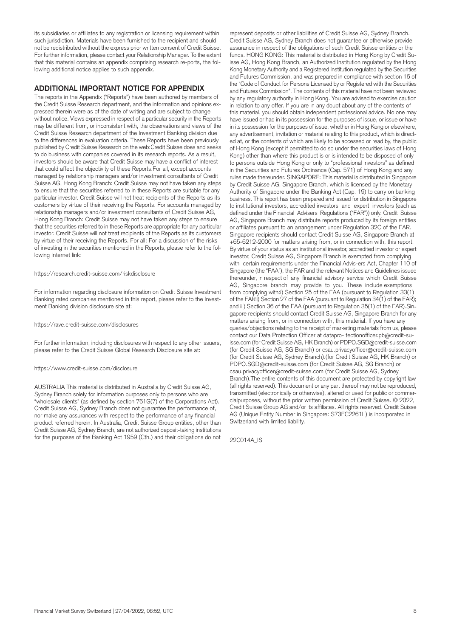its subsidiaries or affiliates to any registration or licensing requirement within such jurisdiction. Materials have been furnished to the recipient and should not be redistributed without the express prior written consent of Credit Suisse. For further information, please contact your Relationship Manager. To the extent that this material contains an appendix comprising research re-ports, the following additional notice applies to such appendix.

## **ADDITIONAL IMPORTANT NOTICE FOR APPENDIX**

The reports in the Appendix ("Reports") have been authored by members of the Credit Suisse Research department, and the information and opinions expressed therein were as of the date of writing and are subject to change without notice. Views expressed in respect of a particular security in the Reports may be different from, or inconsistent with, the observations and views of the Credit Suisse Research department of the Investment Banking division due to the differences in evaluation criteria. These Reports have been previously published by Credit Suisse Research on the web:Credit Suisse does and seeks to do business with companies covered in its research reports. As a result, investors should be aware that Credit Suisse may have a conflict of interest that could affect the objectivity of these Reports.For all, except accounts managed by relationship managers and/or investment consultants of Credit Suisse AG, Hong Kong Branch: Credit Suisse may not have taken any steps to ensure that the securities referred to in these Reports are suitable for any particular investor. Credit Suisse will not treat recipients of the Reports as its customers by virtue of their receiving the Reports. For accounts managed by relationship managers and/or investment consultants of Credit Suisse AG, Hong Kong Branch: Credit Suisse may not have taken any steps to ensure that the securities referred to in these Reports are appropriate for any particular investor. Credit Suisse will not treat recipients of the Reports as its customers by virtue of their receiving the Reports. For all: For a discussion of the risks of investing in the securities mentioned in the Reports, please refer to the following Internet link:

#### <https://research.credit-suisse.com/riskdisclosure>

For information regarding disclosure information on Credit Suisse Investment Banking rated companies mentioned in this report, please refer to the Investment Banking division disclosure site at:

#### <https://rave.credit-suisse.com/disclosures>

For further information, including disclosures with respect to any other issuers, please refer to the Credit Suisse Global Research Disclosure site at:

#### <https://www.credit-suisse.com/disclosure>

AUSTRALIA This material is distributed in Australia by Credit Suisse AG, Sydney Branch solely for information purposes only to persons who are "wholesale clients" (as defined by section 761G(7) of the Corporations Act). Credit Suisse AG, Sydney Branch does not guarantee the performance of, nor make any assurances with respect to the performance of any financial product referred herein. In Australia, Credit Suisse Group entities, other than Credit Suisse AG, Sydney Branch, are not authorized deposit-taking institutions for the purposes of the Banking Act 1959 (Cth.) and their obligations do not

represent deposits or other liabilities of Credit Suisse AG, Sydney Branch. Credit Suisse AG, Sydney Branch does not guarantee or otherwise provide assurance in respect of the obligations of such Credit Suisse entities or the funds. HONG KONG: This material is distributed in Hong Kong by Credit Suisse AG, Hong Kong Branch, an Authorized Institution regulated by the Hong Kong Monetary Authority and a Registered Institution regulated by the Securities and Futures Commission, and was prepared in compliance with section 16 of the "Code of Conduct for Persons Licensed by or Registered with the Securities and Futures Commission". The contents of this material have not been reviewed by any regulatory authority in Hong Kong. You are advised to exercise caution in relation to any offer. If you are in any doubt about any of the contents of this material, you should obtain independent professional advice. No one may have issued or had in its possession for the purposes of issue, or issue or have in its possession for the purposes of issue, whether in Hong Kong or elsewhere, any advertisement, invitation or material relating to this product, which is directed at, or the contents of which are likely to be accessed or read by, the public of Hong Kong (except if permitted to do so under the securities laws of Hong Kong) other than where this product is or is intended to be disposed of only to persons outside Hong Kong or only to "professional investors" as defined in the Securities and Futures Ordinance (Cap. 571) of Hong Kong and any rules made thereunder. SINGAPORE: This material is distributed in Singapore by Credit Suisse AG, Singapore Branch, which is licensed by the Monetary Authority of Singapore under the Banking Act (Cap. 19) to carry on banking business. This report has been prepared and issued for distribution in Singapore to institutional investors, accredited investors and expert investors (each as defined under the Financial Advisers Regulations ("FAR")) only. Credit Suisse AG, Singapore Branch may distribute reports produced by its foreign entities or affiliates pursuant to an arrangement under Regulation 32C of the FAR. Singapore recipients should contact Credit Suisse AG, Singapore Branch at +65-6212-2000 for matters arising from, or in connection with, this report. By virtue of your status as an institutional investor, accredited investor or expert investor, Credit Suisse AG, Singapore Branch is exempted from complying with certain requirements under the Financial Advis-ers Act, Chapter 110 of Singapore (the "FAA"), the FAR and the relevant Notices and Guidelines issued thereunder, in respect of any financial advisory service which Credit Suisse AG, Singapore branch may provide to you. These include exemptions from complying with:i) Section 25 of the FAA (pursuant to Regulation 33(1) of the FARii) Section 27 of the FAA (pursuant to Regulation 34(1) of the FAR); and iii) Section 36 of the FAA (pursuant to Regulation 35(1) of the FAR).Singapore recipients should contact Credit Suisse AG, Singapore Branch for any matters arising from, or in connection with, this material. If you have any queries/objections relating to the receipt of marketing materials from us, please contact our Data Protection Officer at [datapro- tectionofficer.pb@credit-su](mailto:datapro-tectionofficer.pb@credit-su)[isse.com](https://isse.com) (for Credit Suisse AG, HK Branch) or [PDPO.SGD@credit-suisse.com](mailto:PDPO.SGD@credit-suisse.com) (for Credit Suisse AG, SG Branch) or [csau.privacyofficer@credit-suisse.com](mailto:csau.privacyofficer@credit-suisse.com) (for Credit Suisse AG, Sydney Branch).(for Credit Suisse AG, HK Branch) or [PDPO.SGD@credit-suisse.com](mailto:PDPO.SGD@credit-suisse.com) (for Credit Suisse AG, SG Branch) or [csau.privacyofficer@credit-suisse.com](mailto:csau.privacyofficer@credit-suisse.com) (for Credit Suisse AG, Sydney Branch).The entire contents of this document are protected by copyright law (all rights reserved). This document or any part thereof may not be reproduced, transmitted (electronically or otherwise), altered or used for public or commercialpurposes, without the prior written permission of Credit Suisse. © 2022, Credit Suisse Group AG and/or its affiliates. All rights reserved. Credit Suisse AG (Unique Entity Number in Singapore: S73FC2261L) is incorporated in Switzerland with limited liability.

22C014A\_IS